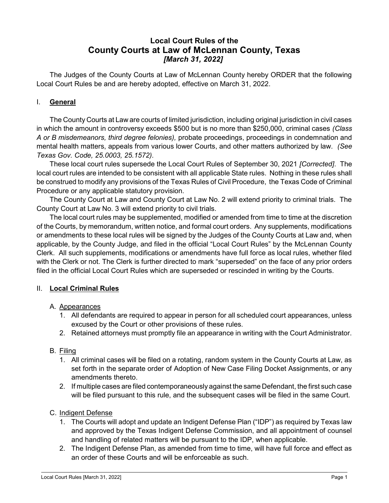# Local Court Rules of the County Courts at Law of McLennan County, Texas [March 31, 2022]

The Judges of the County Courts at Law of McLennan County hereby ORDER that the following Local Court Rules be and are hereby adopted, effective on March 31, 2022.

### I. General

The County Courts at Law are courts of limited jurisdiction, including original jurisdiction in civil cases in which the amount in controversy exceeds \$500 but is no more than \$250,000, criminal cases (Class A or B misdemeanors, third degree felonies), probate proceedings, proceedings in condemnation and mental health matters, appeals from various lower Courts, and other matters authorized by law. (See Texas Gov. Code, 25.0003, 25.1572).

These local court rules supersede the Local Court Rules of September 30, 2021 [Corrected]. The local court rules are intended to be consistent with all applicable State rules. Nothing in these rules shall be construed to modify any provisions of the Texas Rules of Civil Procedure, the Texas Code of Criminal Procedure or any applicable statutory provision.

The County Court at Law and County Court at Law No. 2 will extend priority to criminal trials. The County Court at Law No. 3 will extend priority to civil trials.

The local court rules may be supplemented, modified or amended from time to time at the discretion of the Courts, by memorandum, written notice, and formal court orders. Any supplements, modifications or amendments to these local rules will be signed by the Judges of the County Courts at Law and, when applicable, by the County Judge, and filed in the official "Local Court Rules" by the McLennan County Clerk. All such supplements, modifications or amendments have full force as local rules, whether filed with the Clerk or not. The Clerk is further directed to mark "superseded" on the face of any prior orders filed in the official Local Court Rules which are superseded or rescinded in writing by the Courts.

### II. Local Criminal Rules

### A. Appearances

- 1. All defendants are required to appear in person for all scheduled court appearances, unless excused by the Court or other provisions of these rules.
- 2. Retained attorneys must promptly file an appearance in writing with the Court Administrator.

### B. Filing

- 1. All criminal cases will be filed on a rotating, random system in the County Courts at Law, as set forth in the separate order of Adoption of New Case Filing Docket Assignments, or any amendments thereto.
- 2. If multiple cases are filed contemporaneously against the same Defendant, the first such case will be filed pursuant to this rule, and the subsequent cases will be filed in the same Court.

### C. Indigent Defense

- 1. The Courts will adopt and update an Indigent Defense Plan ("IDP") as required by Texas law and approved by the Texas Indigent Defense Commission, and all appointment of counsel and handling of related matters will be pursuant to the IDP, when applicable.
- 2. The Indigent Defense Plan, as amended from time to time, will have full force and effect as an order of these Courts and will be enforceable as such.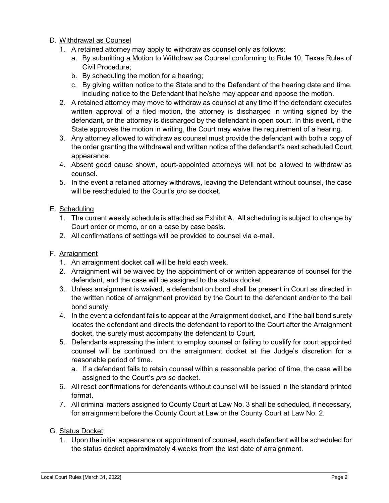#### D. Withdrawal as Counsel

- 1. A retained attorney may apply to withdraw as counsel only as follows:
	- a. By submitting a Motion to Withdraw as Counsel conforming to Rule 10, Texas Rules of Civil Procedure;
	- b. By scheduling the motion for a hearing;
	- c. By giving written notice to the State and to the Defendant of the hearing date and time, including notice to the Defendant that he/she may appear and oppose the motion.
- 2. A retained attorney may move to withdraw as counsel at any time if the defendant executes written approval of a filed motion, the attorney is discharged in writing signed by the defendant, or the attorney is discharged by the defendant in open court. In this event, if the State approves the motion in writing, the Court may waive the requirement of a hearing.
- 3. Any attorney allowed to withdraw as counsel must provide the defendant with both a copy of the order granting the withdrawal and written notice of the defendant's next scheduled Court appearance.
- 4. Absent good cause shown, court-appointed attorneys will not be allowed to withdraw as counsel.
- 5. In the event a retained attorney withdraws, leaving the Defendant without counsel, the case will be rescheduled to the Court's pro se docket.

#### E. Scheduling

- 1. The current weekly schedule is attached as Exhibit A. All scheduling is subject to change by Court order or memo, or on a case by case basis.
- 2. All confirmations of settings will be provided to counsel via e-mail.

#### F. Arraignment

- 1. An arraignment docket call will be held each week.
- 2. Arraignment will be waived by the appointment of or written appearance of counsel for the defendant, and the case will be assigned to the status docket.
- 3. Unless arraignment is waived, a defendant on bond shall be present in Court as directed in the written notice of arraignment provided by the Court to the defendant and/or to the bail bond surety.
- 4. In the event a defendant fails to appear at the Arraignment docket, and if the bail bond surety locates the defendant and directs the defendant to report to the Court after the Arraignment docket, the surety must accompany the defendant to Court.
- 5. Defendants expressing the intent to employ counsel or failing to qualify for court appointed counsel will be continued on the arraignment docket at the Judge's discretion for a reasonable period of time.
	- a. If a defendant fails to retain counsel within a reasonable period of time, the case will be assigned to the Court's pro se docket.
- 6. All reset confirmations for defendants without counsel will be issued in the standard printed format.
- 7. All criminal matters assigned to County Court at Law No. 3 shall be scheduled, if necessary, for arraignment before the County Court at Law or the County Court at Law No. 2.

#### G. Status Docket

1. Upon the initial appearance or appointment of counsel, each defendant will be scheduled for the status docket approximately 4 weeks from the last date of arraignment.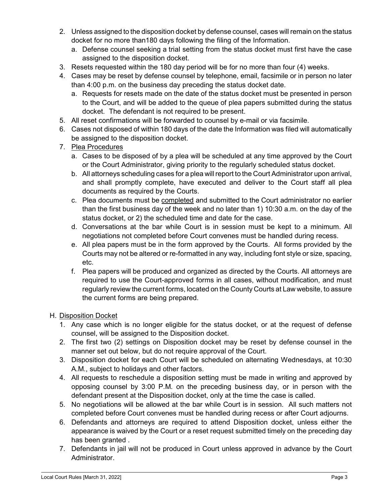- 2. Unless assigned to the disposition docket by defense counsel, cases will remain on the status docket for no more than180 days following the filing of the Information.
	- a. Defense counsel seeking a trial setting from the status docket must first have the case assigned to the disposition docket.
- 3. Resets requested within the 180 day period will be for no more than four (4) weeks.
- 4. Cases may be reset by defense counsel by telephone, email, facsimile or in person no later than 4:00 p.m. on the business day preceding the status docket date.
	- a. Requests for resets made on the date of the status docket must be presented in person to the Court, and will be added to the queue of plea papers submitted during the status docket. The defendant is not required to be present.
- 5. All reset confirmations will be forwarded to counsel by e-mail or via facsimile.
- 6. Cases not disposed of within 180 days of the date the Information was filed will automatically be assigned to the disposition docket.
- 7. Plea Procedures
	- a. Cases to be disposed of by a plea will be scheduled at any time approved by the Court or the Court Administrator, giving priority to the regularly scheduled status docket.
	- b. All attorneys scheduling cases for a plea will report to the Court Administrator upon arrival, and shall promptly complete, have executed and deliver to the Court staff all plea documents as required by the Courts.
	- c. Plea documents must be completed and submitted to the Court administrator no earlier than the first business day of the week and no later than 1) 10:30 a.m. on the day of the status docket, or 2) the scheduled time and date for the case.
	- d. Conversations at the bar while Court is in session must be kept to a minimum. All negotiations not completed before Court convenes must be handled during recess.
	- e. All plea papers must be in the form approved by the Courts. All forms provided by the Courts may not be altered or re-formatted in any way, including font style or size, spacing, etc.
	- f. Plea papers will be produced and organized as directed by the Courts. All attorneys are required to use the Court-approved forms in all cases, without modification, and must regularly review the current forms, located on the County Courts at Law website, to assure the current forms are being prepared.

# H. Disposition Docket

- 1. Any case which is no longer eligible for the status docket, or at the request of defense counsel, will be assigned to the Disposition docket.
- 2. The first two (2) settings on Disposition docket may be reset by defense counsel in the manner set out below, but do not require approval of the Court.
- 3. Disposition docket for each Court will be scheduled on alternating Wednesdays, at 10:30 A.M., subject to holidays and other factors.
- 4. All requests to reschedule a disposition setting must be made in writing and approved by opposing counsel by 3:00 P.M. on the preceding business day, or in person with the defendant present at the Disposition docket, only at the time the case is called.
- 5. No negotiations will be allowed at the bar while Court is in session. All such matters not completed before Court convenes must be handled during recess or after Court adjourns.
- 6. Defendants and attorneys are required to attend Disposition docket, unless either the appearance is waived by the Court or a reset request submitted timely on the preceding day has been granted .
- 7. Defendants in jail will not be produced in Court unless approved in advance by the Court Administrator.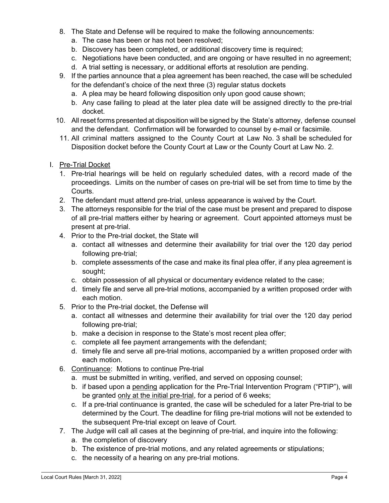- 8. The State and Defense will be required to make the following announcements:
	- a. The case has been or has not been resolved;
	- b. Discovery has been completed, or additional discovery time is required;
	- c. Negotiations have been conducted, and are ongoing or have resulted in no agreement;
	- d. A trial setting is necessary, or additional efforts at resolution are pending.
- 9. If the parties announce that a plea agreement has been reached, the case will be scheduled for the defendant's choice of the next three (3) regular status dockets
	- a. A plea may be heard following disposition only upon good cause shown;
	- b. Any case failing to plead at the later plea date will be assigned directly to the pre-trial docket.
- 10. All reset forms presented at disposition will be signed by the State's attorney, defense counsel and the defendant. Confirmation will be forwarded to counsel by e-mail or facsimile.
- 11. All criminal matters assigned to the County Court at Law No. 3 shall be scheduled for Disposition docket before the County Court at Law or the County Court at Law No. 2.
- I. Pre-Trial Docket
	- 1. Pre-trial hearings will be held on regularly scheduled dates, with a record made of the proceedings. Limits on the number of cases on pre-trial will be set from time to time by the Courts.
	- 2. The defendant must attend pre-trial, unless appearance is waived by the Court.
	- 3. The attorneys responsible for the trial of the case must be present and prepared to dispose of all pre-trial matters either by hearing or agreement. Court appointed attorneys must be present at pre-trial.
	- 4. Prior to the Pre-trial docket, the State will
		- a. contact all witnesses and determine their availability for trial over the 120 day period following pre-trial;
		- b. complete assessments of the case and make its final plea offer, if any plea agreement is sought;
		- c. obtain possession of all physical or documentary evidence related to the case;
		- d. timely file and serve all pre-trial motions, accompanied by a written proposed order with each motion.
	- 5. Prior to the Pre-trial docket, the Defense will
		- a. contact all witnesses and determine their availability for trial over the 120 day period following pre-trial;
		- b. make a decision in response to the State's most recent plea offer;
		- c. complete all fee payment arrangements with the defendant;
		- d. timely file and serve all pre-trial motions, accompanied by a written proposed order with each motion.
	- 6. Continuance: Motions to continue Pre-trial
		- a. must be submitted in writing, verified, and served on opposing counsel;
		- b. if based upon a pending application for the Pre-Trial Intervention Program ("PTIP"), will be granted only at the initial pre-trial, for a period of 6 weeks;
		- c. If a pre-trial continuance is granted, the case will be scheduled for a later Pre-trial to be determined by the Court. The deadline for filing pre-trial motions will not be extended to the subsequent Pre-trial except on leave of Court.
	- 7. The Judge will call all cases at the beginning of pre-trial, and inquire into the following:
		- a. the completion of discovery
		- b. The existence of pre-trial motions, and any related agreements or stipulations;
		- c. the necessity of a hearing on any pre-trial motions.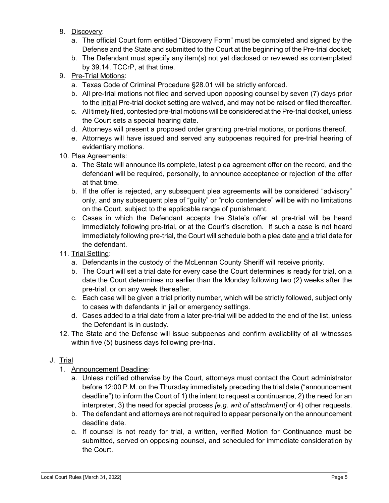- 8. Discovery:
	- a. The official Court form entitled "Discovery Form" must be completed and signed by the Defense and the State and submitted to the Court at the beginning of the Pre-trial docket;
	- b. The Defendant must specify any item(s) not yet disclosed or reviewed as contemplated by 39.14, TCCrP, at that time.
- 9. Pre-Trial Motions:
	- a. Texas Code of Criminal Procedure §28.01 will be strictly enforced.
	- b. All pre-trial motions not filed and served upon opposing counsel by seven (7) days prior to the initial Pre-trial docket setting are waived, and may not be raised or filed thereafter.
	- c. All timely filed, contested pre-trial motions will be considered at the Pre-trial docket, unless the Court sets a special hearing date.
	- d. Attorneys will present a proposed order granting pre-trial motions, or portions thereof.
	- e. Attorneys will have issued and served any subpoenas required for pre-trial hearing of evidentiary motions.
- 10. Plea Agreements:
	- a. The State will announce its complete, latest plea agreement offer on the record, and the defendant will be required, personally, to announce acceptance or rejection of the offer at that time.
	- b. If the offer is rejected, any subsequent plea agreements will be considered "advisory" only, and any subsequent plea of "guilty" or "nolo contendere" will be with no limitations on the Court, subject to the applicable range of punishment.
	- c. Cases in which the Defendant accepts the State's offer at pre-trial will be heard immediately following pre-trial, or at the Court's discretion. If such a case is not heard immediately following pre-trial, the Court will schedule both a plea date and a trial date for the defendant.
- 11. Trial Setting:
	- a. Defendants in the custody of the McLennan County Sheriff will receive priority.
	- b. The Court will set a trial date for every case the Court determines is ready for trial, on a date the Court determines no earlier than the Monday following two (2) weeks after the pre-trial, or on any week thereafter.
	- c. Each case will be given a trial priority number, which will be strictly followed, subject only to cases with defendants in jail or emergency settings.
	- d. Cases added to a trial date from a later pre-trial will be added to the end of the list, unless the Defendant is in custody.
- 12. The State and the Defense will issue subpoenas and confirm availability of all witnesses within five (5) business days following pre-trial.

### J. Trial

- 1. Announcement Deadline:
	- a. Unless notified otherwise by the Court, attorneys must contact the Court administrator before 12:00 P.M. on the Thursday immediately preceding the trial date ("announcement deadline") to inform the Court of 1) the intent to request a continuance, 2) the need for an interpreter, 3) the need for special process [e.g. writ of attachment] or 4) other requests.
	- b. The defendant and attorneys are not required to appear personally on the announcement deadline date.
	- c. If counsel is not ready for trial, a written, verified Motion for Continuance must be submitted, served on opposing counsel, and scheduled for immediate consideration by the Court.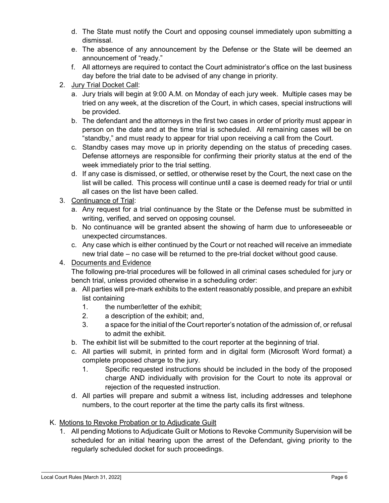- d. The State must notify the Court and opposing counsel immediately upon submitting a dismissal.
- e. The absence of any announcement by the Defense or the State will be deemed an announcement of "ready."
- f. All attorneys are required to contact the Court administrator's office on the last business day before the trial date to be advised of any change in priority.
- 2. Jury Trial Docket Call:
	- a. Jury trials will begin at 9:00 A.M. on Monday of each jury week. Multiple cases may be tried on any week, at the discretion of the Court, in which cases, special instructions will be provided.
	- b. The defendant and the attorneys in the first two cases in order of priority must appear in person on the date and at the time trial is scheduled. All remaining cases will be on "standby," and must ready to appear for trial upon receiving a call from the Court.
	- c. Standby cases may move up in priority depending on the status of preceding cases. Defense attorneys are responsible for confirming their priority status at the end of the week immediately prior to the trial setting.
	- d. If any case is dismissed, or settled, or otherwise reset by the Court, the next case on the list will be called. This process will continue until a case is deemed ready for trial or until all cases on the list have been called.
- 3. Continuance of Trial:
	- a. Any request for a trial continuance by the State or the Defense must be submitted in writing, verified, and served on opposing counsel.
	- b. No continuance will be granted absent the showing of harm due to unforeseeable or unexpected circumstances.
	- c. Any case which is either continued by the Court or not reached will receive an immediate new trial date – no case will be returned to the pre-trial docket without good cause.

# 4. Documents and Evidence

The following pre-trial procedures will be followed in all criminal cases scheduled for jury or bench trial, unless provided otherwise in a scheduling order:

- a. All parties will pre-mark exhibits to the extent reasonably possible, and prepare an exhibit list containing
	- 1. the number/letter of the exhibit;
	- 2. a description of the exhibit; and,
	- 3. a space for the initial of the Court reporter's notation of the admission of, or refusal to admit the exhibit.
- b. The exhibit list will be submitted to the court reporter at the beginning of trial.
- c. All parties will submit, in printed form and in digital form (Microsoft Word format) a complete proposed charge to the jury.
	- 1. Specific requested instructions should be included in the body of the proposed charge AND individually with provision for the Court to note its approval or rejection of the requested instruction.
- d. All parties will prepare and submit a witness list, including addresses and telephone numbers, to the court reporter at the time the party calls its first witness.

# K. Motions to Revoke Probation or to Adjudicate Guilt

1. All pending Motions to Adjudicate Guilt or Motions to Revoke Community Supervision will be scheduled for an initial hearing upon the arrest of the Defendant, giving priority to the regularly scheduled docket for such proceedings.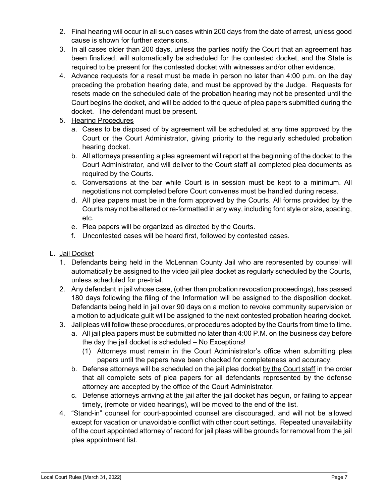- 2. Final hearing will occur in all such cases within 200 days from the date of arrest, unless good cause is shown for further extensions.
- 3. In all cases older than 200 days, unless the parties notify the Court that an agreement has been finalized, will automatically be scheduled for the contested docket, and the State is required to be present for the contested docket with witnesses and/or other evidence.
- 4. Advance requests for a reset must be made in person no later than 4:00 p.m. on the day preceding the probation hearing date, and must be approved by the Judge. Requests for resets made on the scheduled date of the probation hearing may not be presented until the Court begins the docket, and will be added to the queue of plea papers submitted during the docket. The defendant must be present.
- 5. Hearing Procedures
	- a. Cases to be disposed of by agreement will be scheduled at any time approved by the Court or the Court Administrator, giving priority to the regularly scheduled probation hearing docket.
	- b. All attorneys presenting a plea agreement will report at the beginning of the docket to the Court Administrator, and will deliver to the Court staff all completed plea documents as required by the Courts.
	- c. Conversations at the bar while Court is in session must be kept to a minimum. All negotiations not completed before Court convenes must be handled during recess.
	- d. All plea papers must be in the form approved by the Courts. All forms provided by the Courts may not be altered or re-formatted in any way, including font style or size, spacing, etc.
	- e. Plea papers will be organized as directed by the Courts.
	- f. Uncontested cases will be heard first, followed by contested cases.
- L. Jail Docket
	- 1. Defendants being held in the McLennan County Jail who are represented by counsel will automatically be assigned to the video jail plea docket as regularly scheduled by the Courts, unless scheduled for pre-trial.
	- 2. Any defendant in jail whose case, (other than probation revocation proceedings), has passed 180 days following the filing of the Information will be assigned to the disposition docket. Defendants being held in jail over 90 days on a motion to revoke community supervision or a motion to adjudicate guilt will be assigned to the next contested probation hearing docket.
	- 3. Jail pleas will follow these procedures, or procedures adopted by the Courts from time to time.
		- a. All jail plea papers must be submitted no later than 4:00 P.M. on the business day before the day the jail docket is scheduled – No Exceptions!
			- (1) Attorneys must remain in the Court Administrator's office when submitting plea papers until the papers have been checked for completeness and accuracy.
		- b. Defense attorneys will be scheduled on the jail plea docket by the Court staff in the order that all complete sets of plea papers for all defendants represented by the defense attorney are accepted by the office of the Court Administrator.
		- c. Defense attorneys arriving at the jail after the jail docket has begun, or failing to appear timely, (remote or video hearings), will be moved to the end of the list.
	- 4. "Stand-in" counsel for court-appointed counsel are discouraged, and will not be allowed except for vacation or unavoidable conflict with other court settings. Repeated unavailability of the court appointed attorney of record for jail pleas will be grounds for removal from the jail plea appointment list.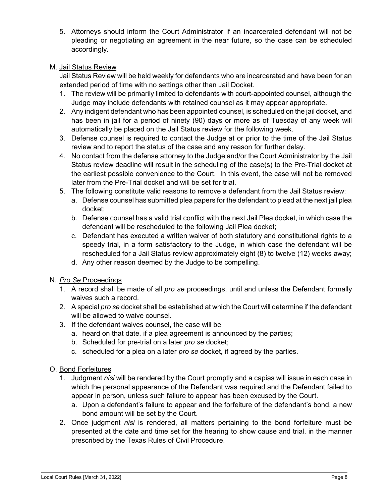5. Attorneys should inform the Court Administrator if an incarcerated defendant will not be pleading or negotiating an agreement in the near future, so the case can be scheduled accordingly.

### M. Jail Status Review

Jail Status Review will be held weekly for defendants who are incarcerated and have been for an extended period of time with no settings other than Jail Docket.

- 1. The review will be primarily limited to defendants with court-appointed counsel, although the Judge may include defendants with retained counsel as it may appear appropriate.
- 2. Any indigent defendant who has been appointed counsel, is scheduled on the jail docket, and has been in jail for a period of ninety (90) days or more as of Tuesday of any week will automatically be placed on the Jail Status review for the following week.
- 3. Defense counsel is required to contact the Judge at or prior to the time of the Jail Status review and to report the status of the case and any reason for further delay.
- 4. No contact from the defense attorney to the Judge and/or the Court Administrator by the Jail Status review deadline will result in the scheduling of the case(s) to the Pre-Trial docket at the earliest possible convenience to the Court. In this event, the case will not be removed later from the Pre-Trial docket and will be set for trial.
- 5. The following constitute valid reasons to remove a defendant from the Jail Status review:
	- a. Defense counsel has submitted plea papers for the defendant to plead at the next jail plea docket;
	- b. Defense counsel has a valid trial conflict with the next Jail Plea docket, in which case the defendant will be rescheduled to the following Jail Plea docket;
	- c. Defendant has executed a written waiver of both statutory and constitutional rights to a speedy trial, in a form satisfactory to the Judge, in which case the defendant will be rescheduled for a Jail Status review approximately eight (8) to twelve (12) weeks away;
	- d. Any other reason deemed by the Judge to be compelling.
- N. Pro Se Proceedings
	- 1. A record shall be made of all pro se proceedings, until and unless the Defendant formally waives such a record.
	- 2. A special *pro se* docket shall be established at which the Court will determine if the defendant will be allowed to waive counsel.
	- 3. If the defendant waives counsel, the case will be
		- a. heard on that date, if a plea agreement is announced by the parties;
		- b. Scheduled for pre-trial on a later pro se docket;
		- c. scheduled for a plea on a later pro se docket, if agreed by the parties.
- O. Bond Forfeitures
	- 1. Judgment nisi will be rendered by the Court promptly and a capias will issue in each case in which the personal appearance of the Defendant was required and the Defendant failed to appear in person, unless such failure to appear has been excused by the Court.
		- a. Upon a defendant's failure to appear and the forfeiture of the defendant's bond, a new bond amount will be set by the Court.
	- 2. Once judgment nisi is rendered, all matters pertaining to the bond forfeiture must be presented at the date and time set for the hearing to show cause and trial, in the manner prescribed by the Texas Rules of Civil Procedure.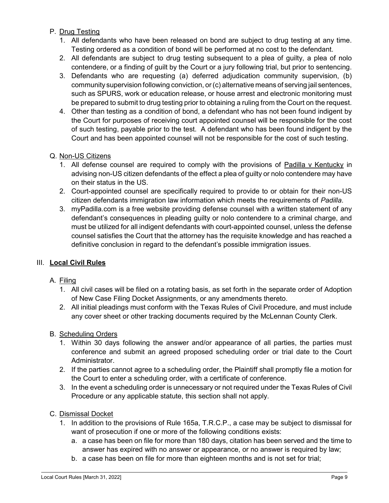### P. Drug Testing

- 1. All defendants who have been released on bond are subject to drug testing at any time. Testing ordered as a condition of bond will be performed at no cost to the defendant.
- 2. All defendants are subject to drug testing subsequent to a plea of guilty, a plea of nolo contendere, or a finding of guilt by the Court or a jury following trial, but prior to sentencing.
- 3. Defendants who are requesting (a) deferred adjudication community supervision, (b) community supervision following conviction, or (c) alternative means of serving jail sentences, such as SPURS, work or education release, or house arrest and electronic monitoring must be prepared to submit to drug testing prior to obtaining a ruling from the Court on the request.
- 4. Other than testing as a condition of bond, a defendant who has not been found indigent by the Court for purposes of receiving court appointed counsel will be responsible for the cost of such testing, payable prior to the test. A defendant who has been found indigent by the Court and has been appointed counsel will not be responsible for the cost of such testing.

### Q. Non-US Citizens

- 1. All defense counsel are required to comply with the provisions of Padilla v Kentucky in advising non-US citizen defendants of the effect a plea of guilty or nolo contendere may have on their status in the US.
- 2. Court-appointed counsel are specifically required to provide to or obtain for their non-US citizen defendants immigration law information which meets the requirements of Padilla.
- 3. myPadilla.com is a free website providing defense counsel with a written statement of any defendant's consequences in pleading guilty or nolo contendere to a criminal charge, and must be utilized for all indigent defendants with court-appointed counsel, unless the defense counsel satisfies the Court that the attorney has the requisite knowledge and has reached a definitive conclusion in regard to the defendant's possible immigration issues.

### III. Local Civil Rules

### A. Filing

- 1. All civil cases will be filed on a rotating basis, as set forth in the separate order of Adoption of New Case Filing Docket Assignments, or any amendments thereto.
- 2. All initial pleadings must conform with the Texas Rules of Civil Procedure, and must include any cover sheet or other tracking documents required by the McLennan County Clerk.

### B. Scheduling Orders

- 1. Within 30 days following the answer and/or appearance of all parties, the parties must conference and submit an agreed proposed scheduling order or trial date to the Court Administrator.
- 2. If the parties cannot agree to a scheduling order, the Plaintiff shall promptly file a motion for the Court to enter a scheduling order, with a certificate of conference.
- 3. In the event a scheduling order is unnecessary or not required under the Texas Rules of Civil Procedure or any applicable statute, this section shall not apply.

# C. Dismissal Docket

- 1. In addition to the provisions of Rule 165a, T.R.C.P., a case may be subject to dismissal for want of prosecution if one or more of the following conditions exists:
	- a. a case has been on file for more than 180 days, citation has been served and the time to answer has expired with no answer or appearance, or no answer is required by law;
	- b. a case has been on file for more than eighteen months and is not set for trial;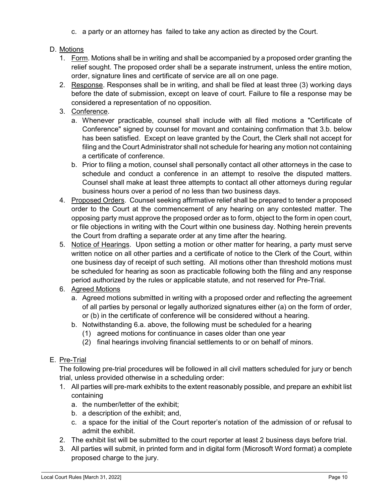c. a party or an attorney has failed to take any action as directed by the Court.

### D. Motions

- 1. Form. Motions shall be in writing and shall be accompanied by a proposed order granting the relief sought. The proposed order shall be a separate instrument, unless the entire motion, order, signature lines and certificate of service are all on one page.
- 2. Response. Responses shall be in writing, and shall be filed at least three (3) working days before the date of submission, except on leave of court. Failure to file a response may be considered a representation of no opposition.
- 3. Conference.
	- a. Whenever practicable, counsel shall include with all filed motions a "Certificate of Conference" signed by counsel for movant and containing confirmation that 3.b. below has been satisfied. Except on leave granted by the Court, the Clerk shall not accept for filing and the Court Administrator shall not schedule for hearing any motion not containing a certificate of conference.
	- b. Prior to filing a motion, counsel shall personally contact all other attorneys in the case to schedule and conduct a conference in an attempt to resolve the disputed matters. Counsel shall make at least three attempts to contact all other attorneys during regular business hours over a period of no less than two business days.
- 4. Proposed Orders. Counsel seeking affirmative relief shall be prepared to tender a proposed order to the Court at the commencement of any hearing on any contested matter. The opposing party must approve the proposed order as to form, object to the form in open court, or file objections in writing with the Court within one business day. Nothing herein prevents the Court from drafting a separate order at any time after the hearing.
- 5. Notice of Hearings. Upon setting a motion or other matter for hearing, a party must serve written notice on all other parties and a certificate of notice to the Clerk of the Court, within one business day of receipt of such setting. All motions other than threshold motions must be scheduled for hearing as soon as practicable following both the filing and any response period authorized by the rules or applicable statute, and not reserved for Pre-Trial.
- 6. Agreed Motions
	- a. Agreed motions submitted in writing with a proposed order and reflecting the agreement of all parties by personal or legally authorized signatures either (a) on the form of order, or (b) in the certificate of conference will be considered without a hearing.
	- b. Notwithstanding 6.a. above, the following must be scheduled for a hearing
		- (1) agreed motions for continuance in cases older than one year
		- (2) final hearings involving financial settlements to or on behalf of minors.

# E. Pre-Trial

The following pre-trial procedures will be followed in all civil matters scheduled for jury or bench trial, unless provided otherwise in a scheduling order:

- 1. All parties will pre-mark exhibits to the extent reasonably possible, and prepare an exhibit list containing
	- a. the number/letter of the exhibit;
	- b. a description of the exhibit; and,
	- c. a space for the initial of the Court reporter's notation of the admission of or refusal to admit the exhibit.
- 2. The exhibit list will be submitted to the court reporter at least 2 business days before trial.
- 3. All parties will submit, in printed form and in digital form (Microsoft Word format) a complete proposed charge to the jury.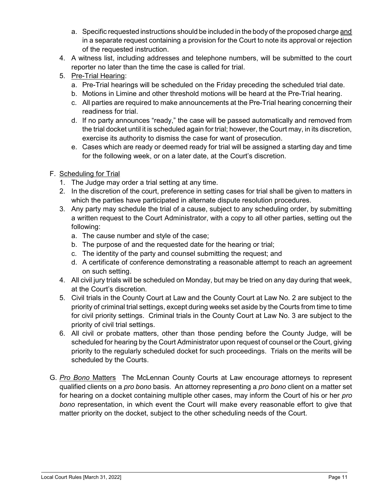- a. Specific requested instructions should be included in the body of the proposed charge and in a separate request containing a provision for the Court to note its approval or rejection of the requested instruction.
- 4. A witness list, including addresses and telephone numbers, will be submitted to the court reporter no later than the time the case is called for trial.
- 5. Pre-Trial Hearing:
	- a. Pre-Trial hearings will be scheduled on the Friday preceding the scheduled trial date.
	- b. Motions in Limine and other threshold motions will be heard at the Pre-Trial hearing.
	- c. All parties are required to make announcements at the Pre-Trial hearing concerning their readiness for trial.
	- d. If no party announces "ready," the case will be passed automatically and removed from the trial docket until it is scheduled again for trial; however, the Court may, in its discretion, exercise its authority to dismiss the case for want of prosecution.
	- e. Cases which are ready or deemed ready for trial will be assigned a starting day and time for the following week, or on a later date, at the Court's discretion.
- F. Scheduling for Trial
	- 1. The Judge may order a trial setting at any time.
	- 2. In the discretion of the court, preference in setting cases for trial shall be given to matters in which the parties have participated in alternate dispute resolution procedures.
	- 3. Any party may schedule the trial of a cause, subject to any scheduling order, by submitting a written request to the Court Administrator, with a copy to all other parties, setting out the following:
		- a. The cause number and style of the case;
		- b. The purpose of and the requested date for the hearing or trial;
		- c. The identity of the party and counsel submitting the request; and
		- d. A certificate of conference demonstrating a reasonable attempt to reach an agreement on such setting.
	- 4. All civil jury trials will be scheduled on Monday, but may be tried on any day during that week, at the Court's discretion.
	- 5. Civil trials in the County Court at Law and the County Court at Law No. 2 are subject to the priority of criminal trial settings, except during weeks set aside by the Courts from time to time for civil priority settings. Criminal trials in the County Court at Law No. 3 are subject to the priority of civil trial settings.
	- 6. All civil or probate matters, other than those pending before the County Judge, will be scheduled for hearing by the Court Administrator upon request of counsel or the Court, giving priority to the regularly scheduled docket for such proceedings. Trials on the merits will be scheduled by the Courts.
- G. Pro Bono Matters The McLennan County Courts at Law encourage attorneys to represent qualified clients on a *pro bono* basis. An attorney representing a *pro bono* client on a matter set for hearing on a docket containing multiple other cases, may inform the Court of his or her pro bono representation, in which event the Court will make every reasonable effort to give that matter priority on the docket, subject to the other scheduling needs of the Court.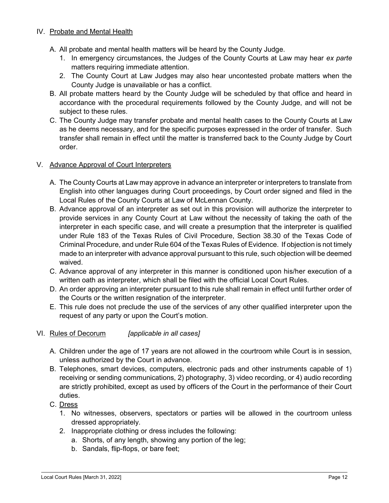#### IV. Probate and Mental Health

- A. All probate and mental health matters will be heard by the County Judge.
	- 1. In emergency circumstances, the Judges of the County Courts at Law may hear ex parte matters requiring immediate attention.
	- 2. The County Court at Law Judges may also hear uncontested probate matters when the County Judge is unavailable or has a conflict.
- B. All probate matters heard by the County Judge will be scheduled by that office and heard in accordance with the procedural requirements followed by the County Judge, and will not be subject to these rules.
- C. The County Judge may transfer probate and mental health cases to the County Courts at Law as he deems necessary, and for the specific purposes expressed in the order of transfer. Such transfer shall remain in effect until the matter is transferred back to the County Judge by Court order.

#### V. Advance Approval of Court Interpreters

- A. The County Courts at Law may approve in advance an interpreter or interpreters to translate from English into other languages during Court proceedings, by Court order signed and filed in the Local Rules of the County Courts at Law of McLennan County.
- B. Advance approval of an interpreter as set out in this provision will authorize the interpreter to provide services in any County Court at Law without the necessity of taking the oath of the interpreter in each specific case, and will create a presumption that the interpreter is qualified under Rule 183 of the Texas Rules of Civil Procedure, Section 38.30 of the Texas Code of Criminal Procedure, and under Rule 604 of the Texas Rules of Evidence. If objection is not timely made to an interpreter with advance approval pursuant to this rule, such objection will be deemed waived.
- C. Advance approval of any interpreter in this manner is conditioned upon his/her execution of a written oath as interpreter, which shall be filed with the official Local Court Rules.
- D. An order approving an interpreter pursuant to this rule shall remain in effect until further order of the Courts or the written resignation of the interpreter.
- E. This rule does not preclude the use of the services of any other qualified interpreter upon the request of any party or upon the Court's motion.
- VI. Rules of Decorum [applicable in all cases]
	- A. Children under the age of 17 years are not allowed in the courtroom while Court is in session, unless authorized by the Court in advance.
	- B. Telephones, smart devices, computers, electronic pads and other instruments capable of 1) receiving or sending communications, 2) photography, 3) video recording, or 4) audio recording are strictly prohibited, except as used by officers of the Court in the performance of their Court duties.
	- C. Dress
		- 1. No witnesses, observers, spectators or parties will be allowed in the courtroom unless dressed appropriately.
		- 2. Inappropriate clothing or dress includes the following:
			- a. Shorts, of any length, showing any portion of the leg;
			- b. Sandals, flip-flops, or bare feet;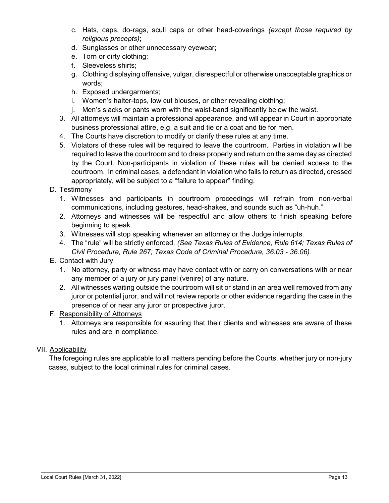- c. Hats, caps, do-rags, scull caps or other head-coverings (except those required by religious precepts);
- d. Sunglasses or other unnecessary eyewear;
- e. Torn or dirty clothing;
- f. Sleeveless shirts;
- g. Clothing displaying offensive, vulgar, disrespectful or otherwise unacceptable graphics or words;
- h. Exposed undergarments;
- i. Women's halter-tops, low cut blouses, or other revealing clothing;
- j. Men's slacks or pants worn with the waist-band significantly below the waist.
- 3. All attorneys will maintain a professional appearance, and will appear in Court in appropriate business professional attire, e.g. a suit and tie or a coat and tie for men.
- 4. The Courts have discretion to modify or clarify these rules at any time.
- 5. Violators of these rules will be required to leave the courtroom. Parties in violation will be required to leave the courtroom and to dress properly and return on the same day as directed by the Court. Non-participants in violation of these rules will be denied access to the courtroom. In criminal cases, a defendant in violation who fails to return as directed, dressed appropriately, will be subject to a "failure to appear" finding.

### D. Testimony

- 1. Witnesses and participants in courtroom proceedings will refrain from non-verbal communications, including gestures, head-shakes, and sounds such as "uh-huh."
- 2. Attorneys and witnesses will be respectful and allow others to finish speaking before beginning to speak.
- 3. Witnesses will stop speaking whenever an attorney or the Judge interrupts.
- 4. The "rule" will be strictly enforced. (See Texas Rules of Evidence, Rule 614; Texas Rules of Civil Procedure, Rule 267; Texas Code of Criminal Procedure, 36.03 - 36.06).

### E. Contact with Jury

- 1. No attorney, party or witness may have contact with or carry on conversations with or near any member of a jury or jury panel (venire) of any nature.
- 2. All witnesses waiting outside the courtroom will sit or stand in an area well removed from any juror or potential juror, and will not review reports or other evidence regarding the case in the presence of or near any juror or prospective juror.

### F. Responsibility of Attorneys

1. Attorneys are responsible for assuring that their clients and witnesses are aware of these rules and are in compliance.

### VII. Applicability

The foregoing rules are applicable to all matters pending before the Courts, whether jury or non-jury cases, subject to the local criminal rules for criminal cases.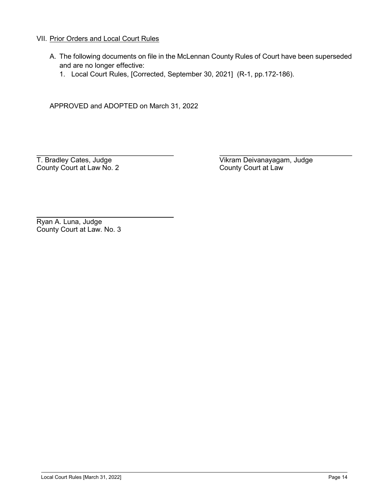#### VII. Prior Orders and Local Court Rules

- A. The following documents on file in the McLennan County Rules of Court have been superseded and are no longer effective:
	- 1. Local Court Rules, [Corrected, September 30, 2021] (R-1, pp.172-186).

APPROVED and ADOPTED on March 31, 2022

County Court at Law No. 2

T. Bradley Cates, Judge<br>
County Court at Law No. 2<br>
County Court at Law No. 2

Ryan A. Luna, Judge County Court at Law. No. 3